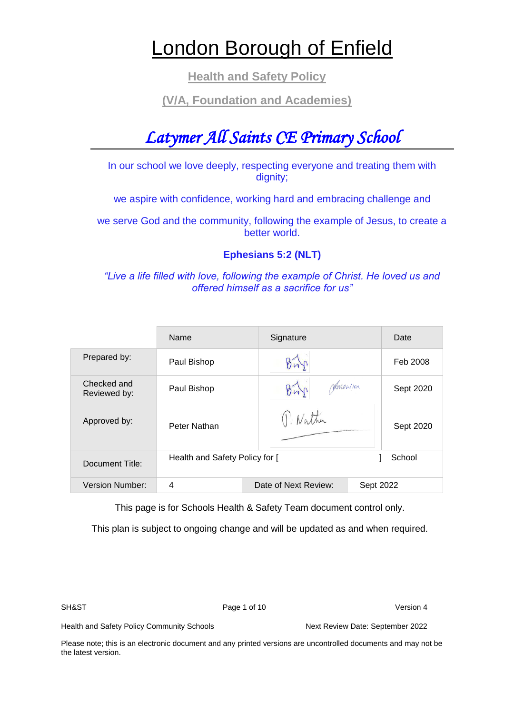# London Borough of Enfield

**Health and Safety Policy**

# **(V/A, Foundation and Academies)**

# *Latymer All Saints CE Primary School*

In our school we love deeply, respecting everyone and treating them with dignity;

we aspire with confidence, working hard and embracing challenge and

we serve God and the community, following the example of Jesus, to create a better world.

# **Ephesians 5:2 (NLT)**

*"Live a life filled with love, following the example of Christ. He loved us and offered himself as a sacrifice for us"*

|                             | <b>Name</b>                    | Signature            | Date      |
|-----------------------------|--------------------------------|----------------------|-----------|
| Prepared by:                | Paul Bishop                    |                      | Feb 2008  |
| Checked and<br>Reviewed by: | Paul Bishop                    | <i>Parmonthon</i>    | Sept 2020 |
| Approved by:                | Peter Nathan                   | 1. Nather            | Sept 2020 |
| Document Title:             | Health and Safety Policy for [ |                      | School    |
| Version Number:             | 4                              | Date of Next Review: | Sept 2022 |

This page is for Schools Health & Safety Team document control only.

This plan is subject to ongoing change and will be updated as and when required.

SH&ST Page 1 of 10 Version 4

Health and Safety Policy Community Schools Next Review Date: September 2022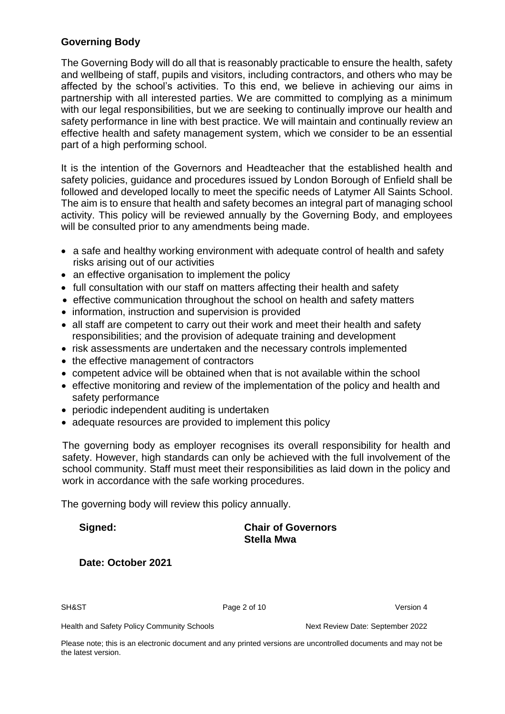# **Governing Body**

The Governing Body will do all that is reasonably practicable to ensure the health, safety and wellbeing of staff, pupils and visitors, including contractors, and others who may be affected by the school's activities. To this end, we believe in achieving our aims in partnership with all interested parties. We are committed to complying as a minimum with our legal responsibilities, but we are seeking to continually improve our health and safety performance in line with best practice. We will maintain and continually review an effective health and safety management system, which we consider to be an essential part of a high performing school.

It is the intention of the Governors and Headteacher that the established health and safety policies, guidance and procedures issued by London Borough of Enfield shall be followed and developed locally to meet the specific needs of Latymer All Saints School. The aim is to ensure that health and safety becomes an integral part of managing school activity. This policy will be reviewed annually by the Governing Body, and employees will be consulted prior to any amendments being made.

- a safe and healthy working environment with adequate control of health and safety risks arising out of our activities
- an effective organisation to implement the policy
- full consultation with our staff on matters affecting their health and safety
- effective communication throughout the school on health and safety matters
- information, instruction and supervision is provided
- all staff are competent to carry out their work and meet their health and safety responsibilities; and the provision of adequate training and development
- risk assessments are undertaken and the necessary controls implemented
- the effective management of contractors
- competent advice will be obtained when that is not available within the school
- effective monitoring and review of the implementation of the policy and health and safety performance
- periodic independent auditing is undertaken
- adequate resources are provided to implement this policy

The governing body as employer recognises its overall responsibility for health and safety. However, high standards can only be achieved with the full involvement of the school community. Staff must meet their responsibilities as laid down in the policy and work in accordance with the safe working procedures.

The governing body will review this policy annually.

# **Signed: Chair of Governors Stella Mwa**

#### **Date: October 2021**

SH&ST Page 2 of 10 Version 4

Health and Safety Policy Community Schools Next Review Date: September 2022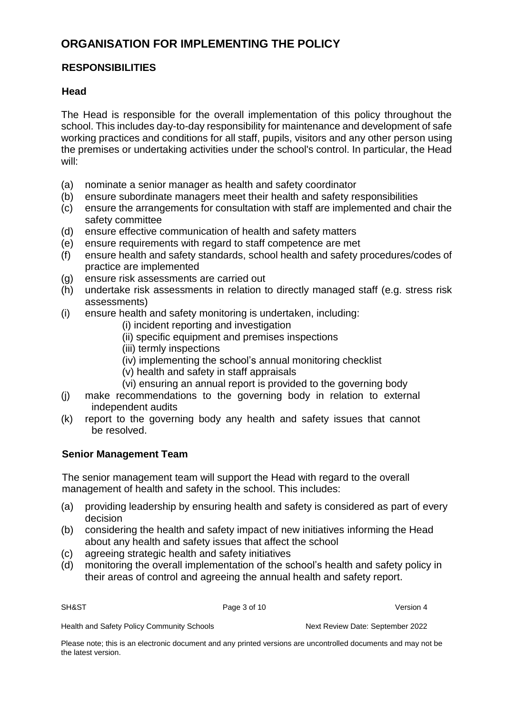# **ORGANISATION FOR IMPLEMENTING THE POLICY**

# **RESPONSIBILITIES**

# **Head**

The Head is responsible for the overall implementation of this policy throughout the school. This includes day-to-day responsibility for maintenance and development of safe working practices and conditions for all staff, pupils, visitors and any other person using the premises or undertaking activities under the school's control. In particular, the Head will:

- (a) nominate a senior manager as health and safety coordinator
- (b) ensure subordinate managers meet their health and safety responsibilities
- (c) ensure the arrangements for consultation with staff are implemented and chair the safety committee
- (d) ensure effective communication of health and safety matters
- (e) ensure requirements with regard to staff competence are met
- (f) ensure health and safety standards, school health and safety procedures/codes of practice are implemented
- (g) ensure risk assessments are carried out
- (h) undertake risk assessments in relation to directly managed staff (e.g. stress risk assessments)
- (i) ensure health and safety monitoring is undertaken, including:
	- (i) incident reporting and investigation
	- (ii) specific equipment and premises inspections
	- (iii) termly inspections
	- (iv) implementing the school's annual monitoring checklist
	- (v) health and safety in staff appraisals
	- (vi) ensuring an annual report is provided to the governing body
- (j) make recommendations to the governing body in relation to external independent audits
- (k) report to the governing body any health and safety issues that cannot be resolved.

# **Senior Management Team**

The senior management team will support the Head with regard to the overall management of health and safety in the school. This includes:

- (a) providing leadership by ensuring health and safety is considered as part of every decision
- (b) considering the health and safety impact of new initiatives informing the Head about any health and safety issues that affect the school
- (c) agreeing strategic health and safety initiatives
- (d) monitoring the overall implementation of the school's health and safety policy in their areas of control and agreeing the annual health and safety report.

SH&ST Page 3 of 10 Version 4

Health and Safety Policy Community Schools Next Review Date: September 2022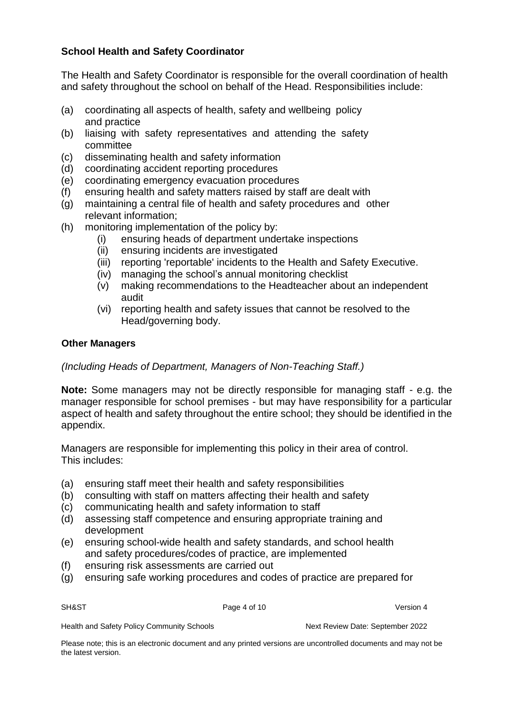# **School Health and Safety Coordinator**

The Health and Safety Coordinator is responsible for the overall coordination of health and safety throughout the school on behalf of the Head. Responsibilities include:

- (a) coordinating all aspects of health, safety and wellbeing policy and practice
- (b) liaising with safety representatives and attending the safety committee
- (c) disseminating health and safety information
- (d) coordinating accident reporting procedures
- (e) coordinating emergency evacuation procedures
- (f) ensuring health and safety matters raised by staff are dealt with
- (g) maintaining a central file of health and safety procedures and other relevant information;
- (h) monitoring implementation of the policy by:
	- (i) ensuring heads of department undertake inspections
	- (ii) ensuring incidents are investigated
	- (iii) reporting 'reportable' incidents to the Health and Safety Executive.
	- (iv) managing the school's annual monitoring checklist
	- (v) making recommendations to the Headteacher about an independent audit
	- (vi) reporting health and safety issues that cannot be resolved to the Head/governing body.

#### **Other Managers**

# *(Including Heads of Department, Managers of Non-Teaching Staff.)*

**Note:** Some managers may not be directly responsible for managing staff - e.g. the manager responsible for school premises - but may have responsibility for a particular aspect of health and safety throughout the entire school; they should be identified in the appendix.

Managers are responsible for implementing this policy in their area of control. This includes:

- (a) ensuring staff meet their health and safety responsibilities
- (b) consulting with staff on matters affecting their health and safety
- (c) communicating health and safety information to staff
- (d) assessing staff competence and ensuring appropriate training and development
- (e) ensuring school-wide health and safety standards, and school health and safety procedures/codes of practice, are implemented
- (f) ensuring risk assessments are carried out
- (g) ensuring safe working procedures and codes of practice are prepared for

SH&ST Page 4 of 10 Version 4

Health and Safety Policy Community Schools Next Review Date: September 2022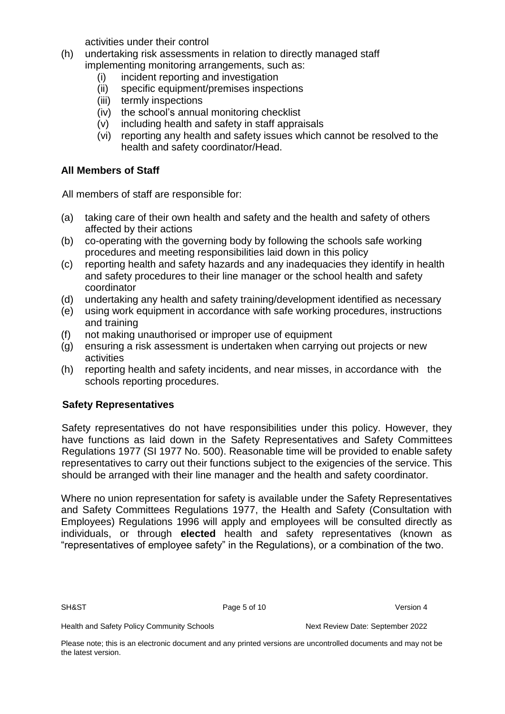activities under their control

- (h) undertaking risk assessments in relation to directly managed staff implementing monitoring arrangements, such as:
	- (i) incident reporting and investigation
	- (ii) specific equipment/premises inspections
	- (iii) termly inspections
	- (iv) the school's annual monitoring checklist
	- (v) including health and safety in staff appraisals
	- (vi) reporting any health and safety issues which cannot be resolved to the health and safety coordinator/Head.

# **All Members of Staff**

All members of staff are responsible for:

- (a) taking care of their own health and safety and the health and safety of others affected by their actions
- (b) co-operating with the governing body by following the schools safe working procedures and meeting responsibilities laid down in this policy
- (c) reporting health and safety hazards and any inadequacies they identify in health and safety procedures to their line manager or the school health and safety coordinator
- (d) undertaking any health and safety training/development identified as necessary
- (e) using work equipment in accordance with safe working procedures, instructions and training
- (f) not making unauthorised or improper use of equipment
- (g) ensuring a risk assessment is undertaken when carrying out projects or new activities
- (h) reporting health and safety incidents, and near misses, in accordance with the schools reporting procedures.

# **Safety Representatives**

Safety representatives do not have responsibilities under this policy. However, they have functions as laid down in the Safety Representatives and Safety Committees Regulations 1977 (SI 1977 No. 500). Reasonable time will be provided to enable safety representatives to carry out their functions subject to the exigencies of the service. This should be arranged with their line manager and the health and safety coordinator.

Where no union representation for safety is available under the Safety Representatives and Safety Committees Regulations 1977, the Health and Safety (Consultation with Employees) Regulations 1996 will apply and employees will be consulted directly as individuals, or through **elected** health and safety representatives (known as "representatives of employee safety" in the Regulations), or a combination of the two.

SH&ST Page 5 of 10 Version 4

Health and Safety Policy Community Schools Next Review Date: September 2022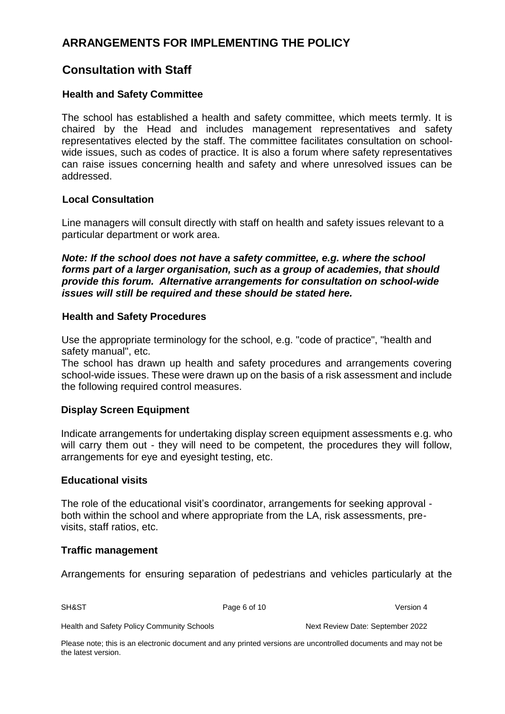# **ARRANGEMENTS FOR IMPLEMENTING THE POLICY**

# **Consultation with Staff**

# **Health and Safety Committee**

The school has established a health and safety committee, which meets termly. It is chaired by the Head and includes management representatives and safety representatives elected by the staff. The committee facilitates consultation on schoolwide issues, such as codes of practice. It is also a forum where safety representatives can raise issues concerning health and safety and where unresolved issues can be addressed.

# **Local Consultation**

Line managers will consult directly with staff on health and safety issues relevant to a particular department or work area.

*Note: If the school does not have a safety committee, e.g. where the school forms part of a larger organisation, such as a group of academies, that should provide this forum. Alternative arrangements for consultation on school-wide issues will still be required and these should be stated here.* 

# **Health and Safety Procedures**

Use the appropriate terminology for the school, e.g. "code of practice", "health and safety manual", etc.

The school has drawn up health and safety procedures and arrangements covering school-wide issues. These were drawn up on the basis of a risk assessment and include the following required control measures.

# **Display Screen Equipment**

Indicate arrangements for undertaking display screen equipment assessments e.g. who will carry them out - they will need to be competent, the procedures they will follow, arrangements for eye and eyesight testing, etc.

# **Educational visits**

The role of the educational visit's coordinator, arrangements for seeking approval both within the school and where appropriate from the LA, risk assessments, previsits, staff ratios, etc.

# **Traffic management**

Arrangements for ensuring separation of pedestrians and vehicles particularly at the

SH&ST Page 6 of 10 Version 4

Health and Safety Policy Community Schools Next Review Date: September 2022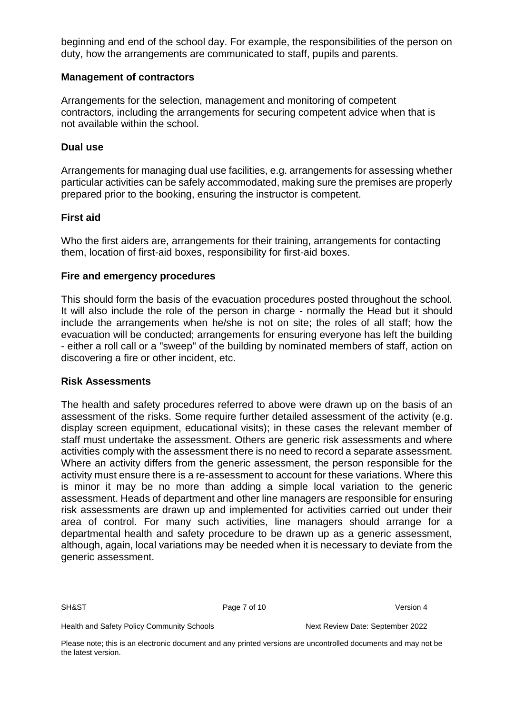beginning and end of the school day. For example, the responsibilities of the person on duty, how the arrangements are communicated to staff, pupils and parents.

## **Management of contractors**

Arrangements for the selection, management and monitoring of competent contractors, including the arrangements for securing competent advice when that is not available within the school.

### **Dual use**

Arrangements for managing dual use facilities, e.g. arrangements for assessing whether particular activities can be safely accommodated, making sure the premises are properly prepared prior to the booking, ensuring the instructor is competent.

# **First aid**

Who the first aiders are, arrangements for their training, arrangements for contacting them, location of first-aid boxes, responsibility for first-aid boxes.

#### **Fire and emergency procedures**

This should form the basis of the evacuation procedures posted throughout the school. It will also include the role of the person in charge - normally the Head but it should include the arrangements when he/she is not on site; the roles of all staff; how the evacuation will be conducted; arrangements for ensuring everyone has left the building - either a roll call or a "sweep" of the building by nominated members of staff, action on discovering a fire or other incident, etc.

#### **Risk Assessments**

The health and safety procedures referred to above were drawn up on the basis of an assessment of the risks. Some require further detailed assessment of the activity (e.g. display screen equipment, educational visits); in these cases the relevant member of staff must undertake the assessment. Others are generic risk assessments and where activities comply with the assessment there is no need to record a separate assessment. Where an activity differs from the generic assessment, the person responsible for the activity must ensure there is a re-assessment to account for these variations. Where this is minor it may be no more than adding a simple local variation to the generic assessment. Heads of department and other line managers are responsible for ensuring risk assessments are drawn up and implemented for activities carried out under their area of control. For many such activities, line managers should arrange for a departmental health and safety procedure to be drawn up as a generic assessment, although, again, local variations may be needed when it is necessary to deviate from the generic assessment.

SH&ST Page 7 of 10 Version 4

Health and Safety Policy Community Schools Next Review Date: September 2022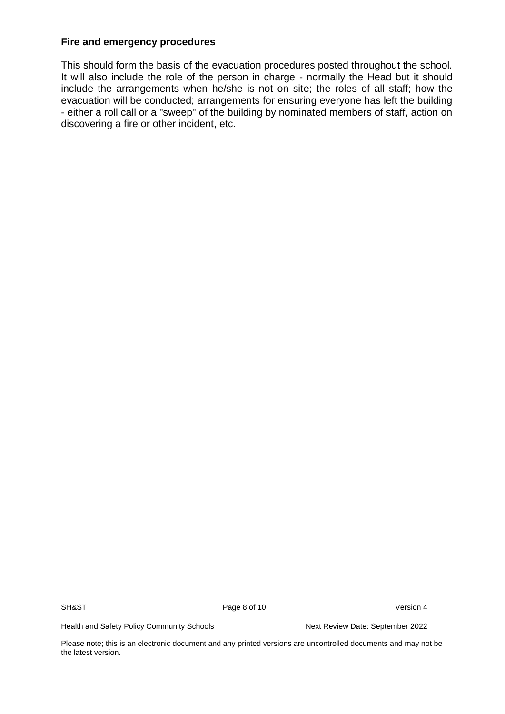# **Fire and emergency procedures**

This should form the basis of the evacuation procedures posted throughout the school. It will also include the role of the person in charge - normally the Head but it should include the arrangements when he/she is not on site; the roles of all staff; how the evacuation will be conducted; arrangements for ensuring everyone has left the building - either a roll call or a "sweep" of the building by nominated members of staff, action on discovering a fire or other incident, etc.

SH&ST Page 8 of 10 Version 4

Health and Safety Policy Community Schools Next Review Date: September 2022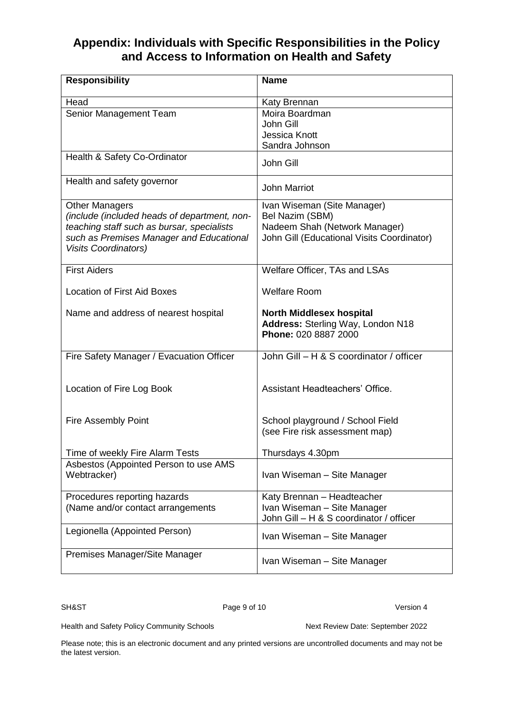# **Appendix: Individuals with Specific Responsibilities in the Policy and Access to Information on Health and Safety**

| <b>Responsibility</b>                                | <b>Name</b>                                |
|------------------------------------------------------|--------------------------------------------|
| Head                                                 | Katy Brennan                               |
| Senior Management Team                               | Moira Boardman                             |
|                                                      | John Gill                                  |
|                                                      | <b>Jessica Knott</b>                       |
|                                                      | Sandra Johnson                             |
| Health & Safety Co-Ordinator                         | John Gill                                  |
| Health and safety governor                           | <b>John Marriot</b>                        |
| <b>Other Managers</b>                                | Ivan Wiseman (Site Manager)                |
| (include (included heads of department, non-         | Bel Nazim (SBM)                            |
| teaching staff such as bursar, specialists           | Nadeem Shah (Network Manager)              |
| such as Premises Manager and Educational             | John Gill (Educational Visits Coordinator) |
| <b>Visits Coordinators)</b>                          |                                            |
| <b>First Aiders</b>                                  | Welfare Officer, TAs and LSAs              |
| <b>Location of First Aid Boxes</b>                   | <b>Welfare Room</b>                        |
| Name and address of nearest hospital                 | <b>North Middlesex hospital</b>            |
|                                                      | Address: Sterling Way, London N18          |
|                                                      | Phone: 020 8887 2000                       |
|                                                      |                                            |
| Fire Safety Manager / Evacuation Officer             | John Gill - H & S coordinator / officer    |
|                                                      |                                            |
| Location of Fire Log Book                            | Assistant Headteachers' Office.            |
|                                                      |                                            |
|                                                      |                                            |
| <b>Fire Assembly Point</b>                           | School playground / School Field           |
|                                                      | (see Fire risk assessment map)             |
|                                                      |                                            |
| Time of weekly Fire Alarm Tests                      | Thursdays 4.30pm                           |
| Asbestos (Appointed Person to use AMS<br>Webtracker) | Ivan Wiseman - Site Manager                |
|                                                      |                                            |
| Procedures reporting hazards                         | Katy Brennan - Headteacher                 |
| (Name and/or contact arrangements                    | Ivan Wiseman - Site Manager                |
|                                                      | John Gill - H & S coordinator / officer    |
| Legionella (Appointed Person)                        | Ivan Wiseman - Site Manager                |
|                                                      |                                            |
| Premises Manager/Site Manager                        | Ivan Wiseman - Site Manager                |
|                                                      |                                            |

SH&ST Page 9 of 10 Version 4

Health and Safety Policy Community Schools Next Review Date: September 2022